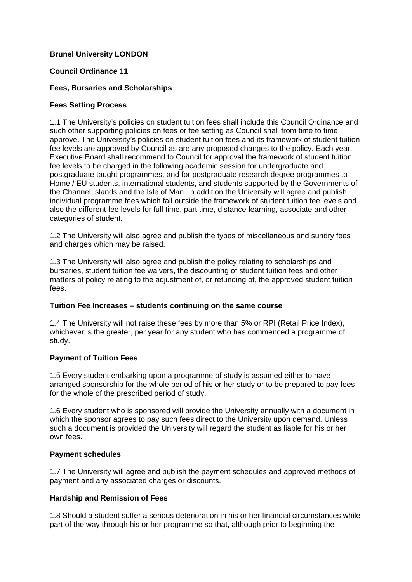# **Brunel University LONDON**

## **Council Ordinance 11**

## **Fees, Bursaries and Scholarships**

#### **Fees Setting Process**

1.1 The University's policies on student tuition fees shall include this Council Ordinance and such other supporting policies on fees or fee setting as Council shall from time to time approve. The University's policies on student tuition fees and its framework of student tuition fee levels are approved by Council as are any proposed changes to the policy. Each year, Executive Board shall recommend to Council for approval the framework of student tuition fee levels to be charged in the following academic session for undergraduate and postgraduate taught programmes, and for postgraduate research degree programmes to Home / EU students, international students, and students supported by the Governments of the Channel Islands and the Isle of Man. In addition the University will agree and publish individual programme fees which fall outside the framework of student tuition fee levels and also the different fee levels for full time, part time, distance-learning, associate and other categories of student.

1.2 The University will also agree and publish the types of miscellaneous and sundry fees and charges which may be raised.

1.3 The University will also agree and publish the policy relating to scholarships and bursaries, student tuition fee waivers, the discounting of student tuition fees and other matters of policy relating to the adjustment of, or refunding of, the approved student tuition fees.

#### **Tuition Fee Increases – students continuing on the same course**

1.4 The University will not raise these fees by more than 5% or RPI (Retail Price Index), whichever is the greater, per year for any student who has commenced a programme of study.

# **Payment of Tuition Fees**

1.5 Every student embarking upon a programme of study is assumed either to have arranged sponsorship for the whole period of his or her study or to be prepared to pay fees for the whole of the prescribed period of study.

1.6 Every student who is sponsored will provide the University annually with a document in which the sponsor agrees to pay such fees direct to the University upon demand. Unless such a document is provided the University will regard the student as liable for his or her own fees.

#### **Payment schedules**

1.7 The University will agree and publish the payment schedules and approved methods of payment and any associated charges or discounts.

# **Hardship and Remission of Fees**

1.8 Should a student suffer a serious deterioration in his or her financial circumstances while part of the way through his or her programme so that, although prior to beginning the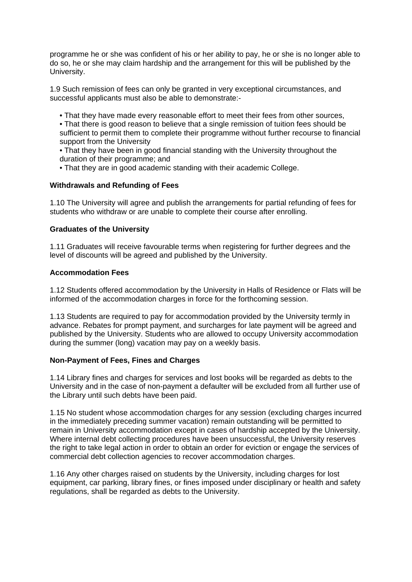programme he or she was confident of his or her ability to pay, he or she is no longer able to do so, he or she may claim hardship and the arrangement for this will be published by the University.

1.9 Such remission of fees can only be granted in very exceptional circumstances, and successful applicants must also be able to demonstrate:-

• That they have made every reasonable effort to meet their fees from other sources,

• That there is good reason to believe that a single remission of tuition fees should be sufficient to permit them to complete their programme without further recourse to financial support from the University

• That they have been in good financial standing with the University throughout the duration of their programme; and

• That they are in good academic standing with their academic College.

## **Withdrawals and Refunding of Fees**

1.10 The University will agree and publish the arrangements for partial refunding of fees for students who withdraw or are unable to complete their course after enrolling.

## **Graduates of the University**

1.11 Graduates will receive favourable terms when registering for further degrees and the level of discounts will be agreed and published by the University.

## **Accommodation Fees**

1.12 Students offered accommodation by the University in Halls of Residence or Flats will be informed of the accommodation charges in force for the forthcoming session.

1.13 Students are required to pay for accommodation provided by the University termly in advance. Rebates for prompt payment, and surcharges for late payment will be agreed and published by the University. Students who are allowed to occupy University accommodation during the summer (long) vacation may pay on a weekly basis.

# **Non-Payment of Fees, Fines and Charges**

1.14 Library fines and charges for services and lost books will be regarded as debts to the University and in the case of non-payment a defaulter will be excluded from all further use of the Library until such debts have been paid.

1.15 No student whose accommodation charges for any session (excluding charges incurred in the immediately preceding summer vacation) remain outstanding will be permitted to remain in University accommodation except in cases of hardship accepted by the University. Where internal debt collecting procedures have been unsuccessful, the University reserves the right to take legal action in order to obtain an order for eviction or engage the services of commercial debt collection agencies to recover accommodation charges.

1.16 Any other charges raised on students by the University, including charges for lost equipment, car parking, library fines, or fines imposed under disciplinary or health and safety regulations, shall be regarded as debts to the University.